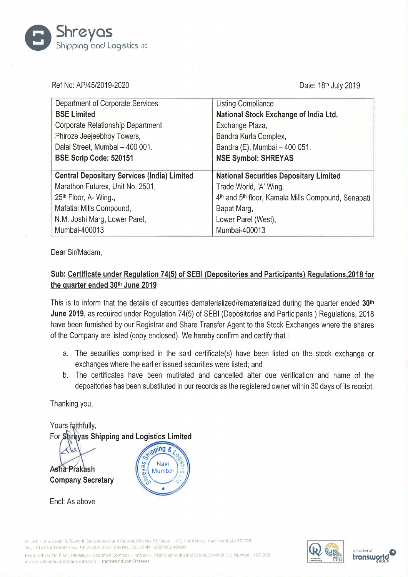

Ref No: AP/45/2019-2020 **Date: 18th July 2019** 

| Department of Corporate Services                   | <b>Listing Compliance</b>                          |
|----------------------------------------------------|----------------------------------------------------|
| <b>BSE Limited</b>                                 | National Stock Exchange of India Ltd.              |
| Corporate Relationship Department                  | Exchange Plaza,                                    |
| Phiroze Jeejeebhoy Towers,                         | Bandra Kurla Complex,                              |
| Dalal Street, Mumbai - 400 001.                    | Bandra (E), Mumbai - 400 051.                      |
| BSE Scrip Code: 520151                             | <b>NSE Symbol: SHREYAS</b>                         |
|                                                    |                                                    |
| <b>Central Depositary Services (India) Limited</b> | <b>National Securities Depositary Limited</b>      |
| Marathon Futurex, Unit No. 2501,                   | Trade World, 'A' Wing,                             |
| 25 <sup>th</sup> Floor, A- Wing.,                  | 4th and 5th floor, Kamala Mills Compound, Senapati |
| Mafatlal Mills Compound,                           | Bapat Marg,                                        |
| N.M. Joshi Marg, Lower Parel,                      | Lower Parel (West),                                |
| Mumbai-400013                                      | Mumbai-400013                                      |

Dear Sir/Madam,

## Sub: Certificate under Requlation 74(5) of SEBI (Depositories and Participants) Requlations.2018 for the quarter ended 30th June 2019

This is to inform that the details of securities dematerialized/rematerialized during the quarter ended 30<sup>th</sup> June 2019, as required under Regulation 74(5) of SEBI (Depositories and Participants) Regulations, 2018 have been furnished by our Registrar and Share Transfer Agent to the Stock Exchanges where the shares of the Company are listed (copy enclosed). We hereby confirm and certify that :

- a. The securities comprised in the said certificate(s) have been listed on the stock exchange or exchanges where the earlier issued securities were listed; and
- b. The certificates have been mutilated and cancelled after due verification and name of the depositories has been substituted in our records as the registered owner within 30 days of its receipt.

Thanking you,

Yours faithfully, For Shreyas Shipping and Logistics Limited

Asha Prakash Company Secretary

soing & Navi ã Mumbai

Encl: As above